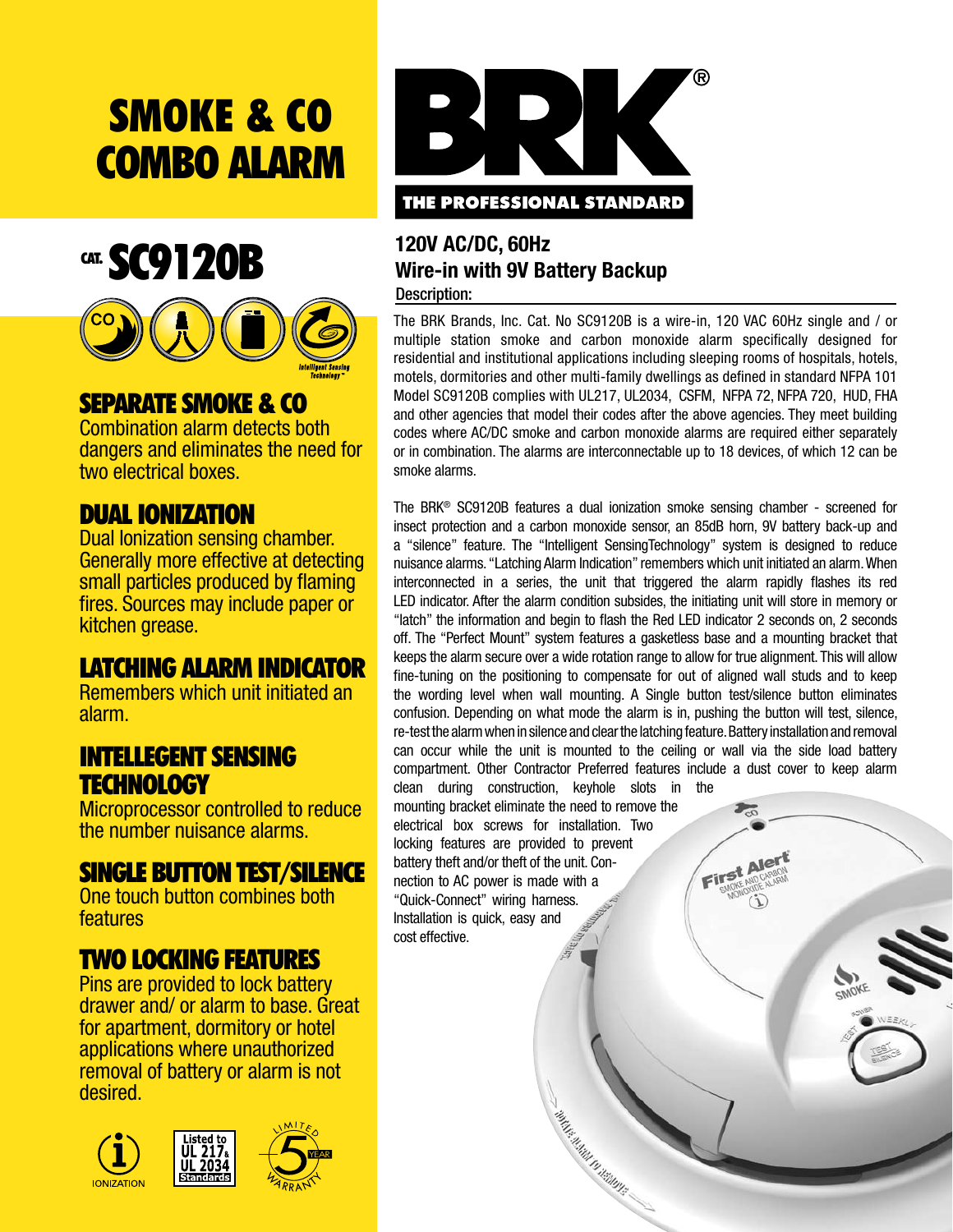# Smoke & CO **COMBO ALARM**



### SEPARATE SMOKE & CO

Combination alarm detects both dangers and eliminates the need for two electrical boxes.

## DUAL IONIZATION

Dual Ionization sensing chamber. Generally more effective at detecting small particles produced by flaming fires. Sources may include paper or kitchen grease.

# LATCHING ALARM INDICATOR

Remembers which unit initiated an alarm.

# INTELLEGENT SENSING **TECHNOLOGY**

Microprocessor controlled to reduce the number nuisance alarms.

### SINGLE BUTTON TEST/SILENCE

One touch button combines both features

# TWO LOcking FEATURES

Pins are provided to lock battery drawer and/ or alarm to base. Great for apartment, dormitory or hotel applications where unauthorized removal of battery or alarm is not desired.





#### **120V AC/DC, 60Hz Wire-in with 9V Battery Backup** Description:

The BRK Brands, Inc. Cat. No SC9120B is a wire-in, 120 VAC 60Hz single and / or multiple station smoke and carbon monoxide alarm specifically designed for residential and institutional applications including sleeping rooms of hospitals, hotels, motels, dormitories and other multi-family dwellings as defined in standard NFPA 101 Model SC9120B complies with UL217, UL2034, CSFM, NFPA 72, NFPA 720, HUD, FHA and other agencies that model their codes after the above agencies. They meet building codes where AC/DC smoke and carbon monoxide alarms are required either separately or in combination. The alarms are interconnectable up to 18 devices, of which 12 can be smoke alarms.

The BRK® SC9120B features a dual ionization smoke sensing chamber - screened for insect protection and a carbon monoxide sensor, an 85dB horn, 9V battery back-up and a "silence" feature. The "Intelligent SensingTechnology" system is designed to reduce nuisance alarms. "Latching Alarm Indication" remembers which unit initiated an alarm. When interconnected in a series, the unit that triggered the alarm rapidly flashes its red LED indicator. After the alarm condition subsides, the initiating unit will store in memory or "latch" the information and begin to flash the Red LED indicator 2 seconds on, 2 seconds off. The "Perfect Mount" system features a gasketless base and a mounting bracket that keeps the alarm secure over a wide rotation range to allow for true alignment. This will allow fine-tuning on the positioning to compensate for out of aligned wall studs and to keep the wording level when wall mounting. A Single button test/silence button eliminates confusion. Depending on what mode the alarm is in, pushing the button will test, silence, re-test the alarm when in silence and clear the latching feature. Battery installation and removal can occur while the unit is mounted to the ceiling or wall via the side load battery compartment. Other Contractor Preferred features include a dust cover to keep alarm

First Ale

clean during construction, keyhole slots in the mounting bracket eliminate the need to remove the electrical box screws for installation. Two locking features are provided to prevent battery theft and/or theft of the unit. Connection to AC power is made with a "Quick-Connect" wiring harness. Installation is quick, easy and cost effective.